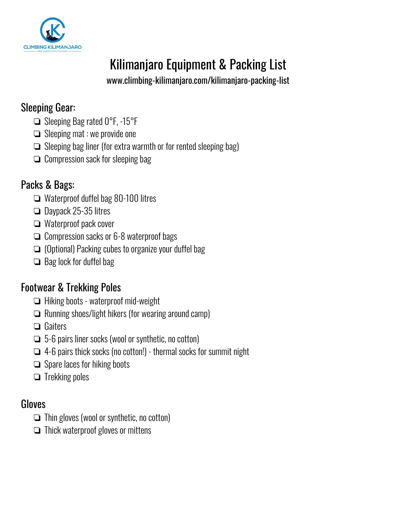

# Kilimanjaro Equipment & Packing List-

[www.climbing-kilimanjaro.com/kilimanjaro-packing-list-](https://www.climbing-kilimanjaro.com/kilimanjaro-packing-list/)

## Sleeping Gear:

- ❏ Sleeping Bag rated 0°F, -15°F-
- ❏ Sleeping mat : we provide one-
- ❏ Sleeping bag liner (for extra warmth or for rented sleeping bag)-
- ❏ Compression sack for sleeping bag-

# Packs & Bags:

- ❏ Waterproof duffel bag 80-100 litres-
- ❏ Daypack 25-35 litres-
- ❏ Waterproof pack cover-
- ❏ Compression sacks or 6-8 waterproof bags-
- ❏ (Optional) Packing cubes to organize your duffel bag-
- ❏ Bag lock for duffel bag-

# Footwear & Trekking Poles-

- ❏ Hiking boots waterproof mid-weight-
- ❏ Running shoes/light hikers (for wearing around camp)-
- ❏ Gaiters-
- ❏ 5-6 pairs liner socks (wool or synthetic, no cotton)-
- ❏ 4-6 pairs thick socks (no cotton!) thermal socks for summit night-
- ❏ Spare laces for hiking boots-
- ❏ Trekking poles-

### **Gloves**

- ❏ Thin gloves (wool or synthetic, no cotton)-
- ❏ Thick waterproof gloves or mittens-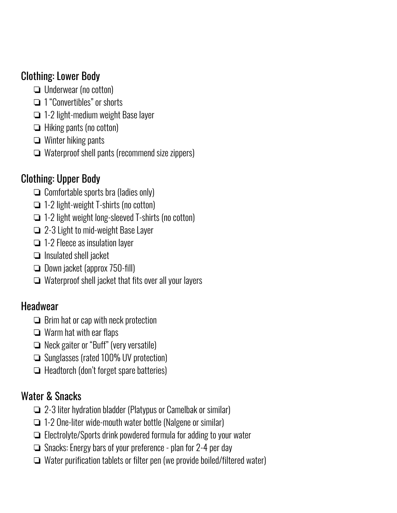## Clothing: Lower Body-

- ❏ Underwear (no cotton)-
- ❏ 1 "Convertibles" or shorts-
- ❏ 1-2 light-medium weight Base layer-
- ❏ Hiking pants (no cotton)-
- ❏ Winter hiking pants-
- ❏ Waterproof shell pants (recommend size zippers)-

# Clothing: Upper Body-

- ❏ Comfortable sports bra (ladies only)-
- ❏ 1-2 light-weight T-shirts (no cotton)-
- ❏ 1-2 light weight long-sleeved T-shirts (no cotton)-
- ❏ 2-3 Light to mid-weight Base Layer-
- ❏ 1-2 Fleece as insulation layer-
- ❏ Insulated shell jacket-
- ❏ Down jacket (approx 750-fill)-
- ❏ Waterproof shell jacket that fits over all your layers-

### **Headwear**

- ❏ Brim hat or cap with neck protection-
- ❏ Warm hat with ear flaps-
- ❏ Neck gaiter or "Buff" (very versatile)-
- ❏ Sunglasses (rated 100% UV protection)-
- ❏ Headtorch (don't forget spare batteries)-

## Water & Snacks

- ❏ 2-3 liter hydration bladder (Platypus or Camelbak or similar)-
- ❏ 1-2 One-liter wide-mouth water bottle (Nalgene or similar)-
- ❏ Electrolyte/Sports drink powdered formula for adding to your water-
- ❏ Snacks: Energy bars of your preference plan for 2-4 per day-
- ❏ Water purification tablets or filter pen (we provide boiled/filtered water)-